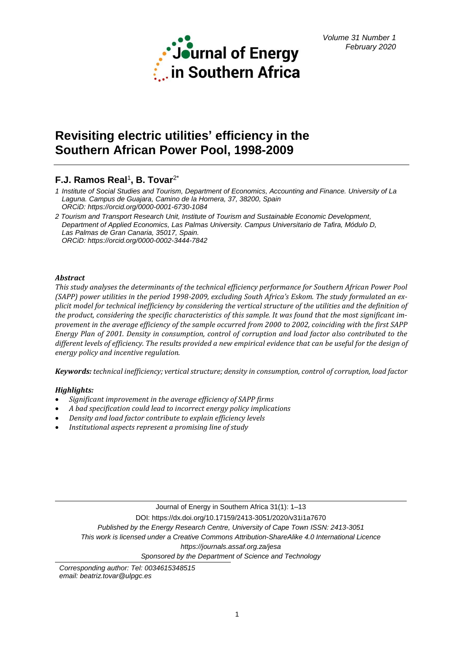

# **Revisiting electric utilities' efficiency in the Southern African Power Pool, 1998-2009**

## **F.J. Ramos Real**<sup>1</sup> **, B. Tovar**2\*

- *1 Institute of Social Studies and Tourism, Department of Economics, Accounting and Finance. University of La Laguna. Campus de Guajara, Camino de la Hornera, 37, 38200, Spain ORCiD: <https://orcid.org/0000-0001-6730-1084>*
- *2 Tourism and Transport Research Unit, Institute of Tourism and Sustainable Economic Development, Department of Applied Economics, Las Palmas University. Campus Universitario de Tafira, Módulo D, Las Palmas de Gran Canaria, 35017, Spain. ORCiD:<https://orcid.org/0000-0002-3444-7842>*

## *Abstract*

*This study analyses the determinants of the technical efficiency performance for Southern African Power Pool (SAPP) power utilities in the period 1998-2009, excluding South Africa's Eskom. The study formulated an explicit model for technical inefficiency by considering the vertical structure of the utilities and the definition of the product, considering the specific characteristics of this sample. It was found that the most significant improvement in the average efficiency of the sample occurred from 2000 to 2002, coinciding with the first SAPP Energy Plan of 2001. Density in consumption, control of corruption and load factor also contributed to the different levels of efficiency. The results provided a new empirical evidence that can be useful for the design of energy policy and incentive regulation.* 

*Keywords: technical inefficiency; vertical structure; density in consumption, control of corruption, load factor*

## *Highlights:*

- *Significant improvement in the average efficiency of SAPP firms*
- *A bad specification could lead to incorrect energy policy implications*
- *Density and load factor contribute to explain efficiency levels*
- *Institutional aspects represent a promising line of study*

Journal of Energy in Southern Africa 31(1): 1–13 DOI: https://dx.doi.org/10.17159/2413-3051/2020/v31i1a7670 *Published by the Energy Research Centre, University of Cape Town ISSN: 2413-3051 This work is licensed under a Creative Commons Attribution-ShareAlike 4.0 International Licence https://journals.assaf.org.za/jesa Sponsored by the Department of Science and Technology*

*Corresponding author: Tel: 0034615348515 email: [beatriz.tovar@ulpgc.es](mailto:beatriz.tovar@ulpgc.es)*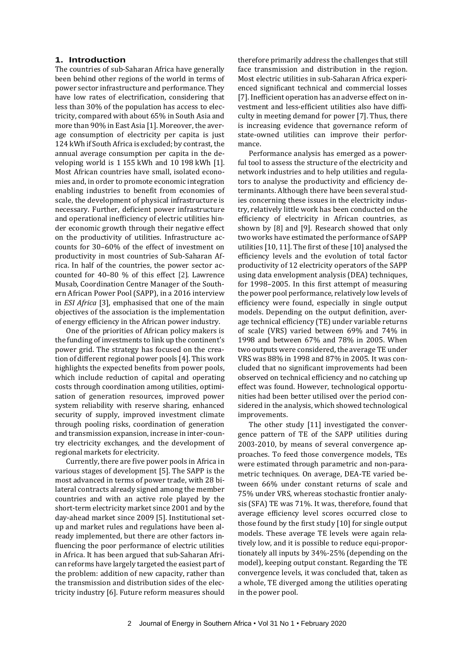#### **1. Introduction**

The countries of sub-Saharan Africa have generally been behind other regions of the world in terms of power sector infrastructure and performance. They have low rates of electrification, considering that less than 30% of the population has access to electricity, compared with about 65% in South Asia and more than 90% in East Asia [1]. Moreover, the average consumption of electricity per capita is just 124 kWh if South Africa is excluded; by contrast, the annual average consumption per capita in the developing world is 1 155 kWh and 10 198 kWh [1]. Most African countries have small, isolated economies and, in order to promote economic integration enabling industries to benefit from economies of scale, the development of physical infrastructure is necessary. Further, deficient power infrastructure and operational inefficiency of electric utilities hinder economic growth through their negative effect on the productivity of utilities. Infrastructure accounts for 30–60% of the effect of investment on productivity in most countries of Sub-Saharan Africa. In half of the countries, the power sector accounted for 40–80 % of this effect [2]. Lawrence Musab, Coordination Centre Manager of the Southern African Power Pool (SAPP), in a 2016 interview in *ESI Africa* [3], emphasised that one of the main objectives of the association is the implementation of energy efficiency in the African power industry.

One of the priorities of African policy makers is the funding of investments to link up the continent's power grid. The strategy has focused on the creation of different regional power pools [4]. This work highlights the expected benefits from power pools, which include reduction of capital and operating costs through coordination among utilities, optimisation of generation resources, improved power system reliability with reserve sharing, enhanced security of supply, improved investment climate through pooling risks, coordination of generation and transmission expansion, increase in inter-country electricity exchanges, and the development of regional markets for electricity.

Currently, there are five power pools in Africa in various stages of development [5]. The SAPP is the most advanced in terms of power trade, with 28 bilateral contracts already signed among the member countries and with an active role played by the short-term electricity market since 2001 and by the day-ahead market since 2009 [5]. Institutional setup and market rules and regulations have been already implemented, but there are other factors influencing the poor performance of electric utilities in Africa. It has been argued that sub-Saharan African reforms have largely targeted the easiest part of the problem: addition of new capacity, rather than the transmission and distribution sides of the electricity industry [6]. Future reform measures should therefore primarily address the challenges that still face transmission and distribution in the region. Most electric utilities in sub-Saharan Africa experienced significant technical and commercial losses [7]. Inefficient operation has an adverse effect on investment and less-efficient utilities also have difficulty in meeting demand for power [7]. Thus, there is increasing evidence that governance reform of state-owned utilities can improve their performance.

Performance analysis has emerged as a powerful tool to assess the structure of the electricity and network industries and to help utilities and regulators to analyse the productivity and efficiency determinants. Although there have been several studies concerning these issues in the electricity industry, relatively little work has been conducted on the efficiency of electricity in African countries, as shown by [8] and [9]. Research showed that only two works have estimated the performance of SAPP utilities [10, 11]. The first of these [10] analysed the efficiency levels and the evolution of total factor productivity of 12 electricity operators of the SAPP using data envelopment analysis (DEA) techniques, for 1998–2005. In this first attempt of measuring the power pool performance, relatively low levels of efficiency were found, especially in single output models. Depending on the output definition, average technical efficiency (TE) under variable returns of scale (VRS) varied between 69% and 74% in 1998 and between 67% and 78% in 2005. When two outputs were considered, the average TE under VRS was 88% in 1998 and 87% in 2005. It was concluded that no significant improvements had been observed on technical efficiency and no catching up effect was found. However, technological opportunities had been better utilised over the period considered in the analysis, which showed technological improvements.

The other study [11] investigated the convergence pattern of TE of the SAPP utilities during 2003-2010, by means of several convergence approaches. To feed those convergence models, TEs were estimated through parametric and non-parametric techniques. On average, DEA-TE varied between 66% under constant returns of scale and 75% under VRS, whereas stochastic frontier analysis (SFA) TE was 71%. It was, therefore, found that average efficiency level scores occurred close to those found by the first study [10] for single output models. These average TE levels were again relatively low, and it is possible to reduce equi-proportionately all inputs by 34%-25% (depending on the model), keeping output constant. Regarding the TE convergence levels, it was concluded that, taken as a whole, TE diverged among the utilities operating in the power pool.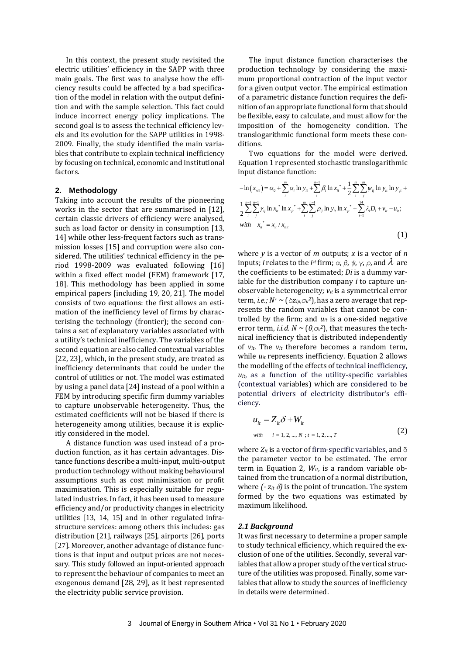In this context, the present study revisited the electric utilities' efficiency in the SAPP with three main goals. The first was to analyse how the efficiency results could be affected by a bad specification of the model in relation with the output definition and with the sample selection. This fact could induce incorrect energy policy implications. The second goal is to assess the technical efficiency levels and its evolution for the SAPP utilities in 1998- 2009. Finally, the study identified the main variables that contribute to explain technical inefficiency by focusing on technical, economic and institutional factors.

#### **2. Methodology**

Taking into account the results of the pioneering works in the sector that are summarised in [12], certain classic drivers of efficiency were analysed, such as load factor or density in consumption [13, 14] while other less-frequent factors such as transmission losses [15] and corruption were also considered. The utilities' technical efficiency in the period 1998-2009 was evaluated following [16] within a fixed effect model (FEM) framework [17, 18]. This methodology has been applied in some empirical papers [including 19, 20, 21]. The model consists of two equations: the first allows an estimation of the inefficiency level of firms by characterising the technology (frontier); the second contains a set of explanatory variables associated with a utility's technical inefficiency. The variables of the second equation are also called contextual variables [22, 23], which, in the present study, are treated as inefficiency determinants that could be under the control of utilities or not. The model was estimated by using a panel data [24] instead of a pool within a FEM by introducing specific firm dummy variables to capture unobservable heterogeneity. Thus, the estimated coefficients will not be biased if there is heterogeneity among utilities, because it is explicitly considered in the model.

A distance function was used instead of a production function, as it has certain advantages. Distance functions describe a multi-input, multi-output production technology without making behavioural assumptions such as cost minimisation or profit maximisation. This is especially suitable for regulated industries. In fact, it has been used to measure efficiency and/or productivity changes in electricity utilities [13, 14, 15] and in other regulated infrastructure services: among others this includes: gas distribution [21], railways [25], airports [26], ports [27]. Moreover, another advantage of distance functions is that input and output prices are not necessary. This study followed an input-oriented approach to represent the behaviour of companies to meet an exogenous demand [28, 29], as it best represented the electricity public service provision.

The input distance function characterises the production technology by considering the maximum proportional contraction of the input vector for a given output vector. The empirical estimation of a parametric distance function requires the definition of an appropriate functional form that should be flexible, easy to calculate, and must allow for the imposition of the homogeneity condition. The translogarithmic functional form meets these conditions.

Two equations for the model were derived. Equation 1 represented stochastic translogarithmic input distance function:

$$
-\ln(x_{ni}) = \alpha_0 + \sum_{i}^{m} \alpha_i \ln y_{ii} + \sum_{i}^{n-1} \beta_i \ln x_{ii}^* + \frac{1}{2} \sum_{i}^{m} \sum_{j}^{m} \psi_{ij} \ln y_{ii} \ln y_{ji} + \frac{1}{2} \sum_{i}^{n-1} \sum_{j}^{n-1} \gamma_{ij} \ln x_{ii}^* \ln x_{ji}^* + \sum_{i}^{m} \sum_{j}^{n-1} \rho_{ij} \ln y_{ii} \ln x_{ji}^* + \sum_{i=1}^{14} \lambda_i D_i + v_{ii} - u_{ii};
$$
  
\nwith  $x_{ii}^* = x_{ii} / x_{ni}$  (1)

where *y* is a vector of *m* outputs; *x* is a vector of *n* inputs; *i* relates to the *i*<sup>st</sup> firm;  $\alpha$ ,  $\beta$ ,  $\psi$ ,  $\gamma$ ,  $\rho$ , and  $\lambda$  are the coefficients to be estimated; *Di* is a dummy variable for the distribution company *i* to capture unobservable heterogeneity*; vit* is a symmetrical error term, *i.e.; N<sup>+</sup> ~* (*δzip,σ<sup>u</sup> 2*), has a zero average that represents the random variables that cannot be controlled by the firm; and  $u_{it}$  is a one-sided negative error term, *i.i.d.*  $N \sim (0, \sigma_v^2)$ , that measures the technical inefficiency that is distributed independently of  $v_{it}$ . The  $v_{it}$  therefore becomes a random term, while  $u_{it}$  represents inefficiency. Equation 2 allows the modelling of the effects of technical inefficiency,  $u_{it}$ , as a function of the utility-specific variables (contextual variables) which are considered to be potential drivers of electricity distributor's efficiency.

$$
u_{it} = Z_{it} \delta + W_{it}
$$
  
\nwith  $i = 1, 2, ..., N; t = 1, 2, ..., T$  (2)

where  $Z_{it}$  is a vector of firm-specific variables, and  $\delta$ the parameter vector to be estimated. The error term in Equation 2, *Wit*, is a random variable obtained from the truncation of a normal distribution, where  $(-z_{it} \delta)$  is the point of truncation. The system formed by the two equations was estimated by maximum likelihood.

#### *2.1 Background*

It was first necessary to determine a proper sample to study technical efficiency, which required the exclusion of one of the utilities. Secondly, several variables that allow a proper study of the vertical structure of the utilities was proposed. Finally, some variables that allow to study the sources of inefficiency in details were determined.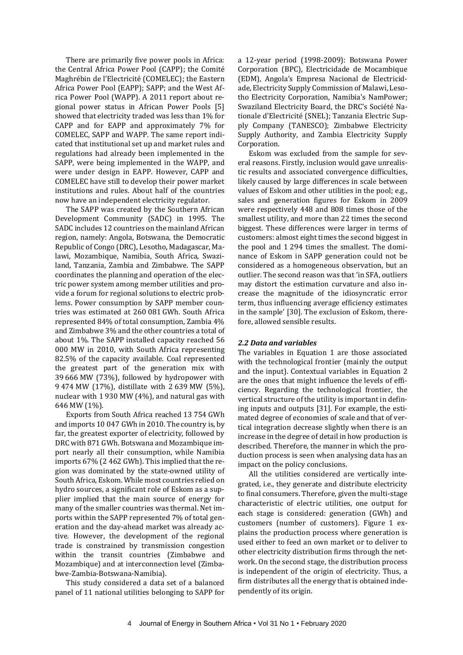There are primarily five power pools in Africa: the Central Africa Power Pool (CAPP); the Comité Maghrébin de l'Electricité (COMELEC); the Eastern Africa Power Pool (EAPP); SAPP; and the West Africa Power Pool (WAPP). A 2011 report about regional power status in African Power Pools [5] showed that electricity traded was less than 1% for CAPP and for EAPP and approximately 7% for COMELEC, SAPP and WAPP. The same report indicated that institutional set up and market rules and regulations had already been implemented in the SAPP, were being implemented in the WAPP, and were under design in EAPP. However, CAPP and COMELEC have still to develop their power market institutions and rules. About half of the countries now have an independent electricity regulator.

The SAPP was created by the Southern African Development Community (SADC) in 1995. The SADC includes 12 countries on the mainland African region, namely: Angola, Botswana, the Democratic Republic of Congo (DRC), Lesotho, Madagascar, Malawi, Mozambique, Namibia, South Africa, Swaziland, Tanzania, Zambia and Zimbabwe. The SAPP coordinates the planning and operation of the electric power system among member utilities and provide a forum for regional solutions to electric problems. Power consumption by SAPP member countries was estimated at 260 081 GWh. South Africa represented 84% of total consumption, Zambia 4% and Zimbabwe 3% and the other countries a total of about 1%. The SAPP installed capacity reached 56 000 MW in 2010, with South Africa representing 82.5% of the capacity available. Coal represented the greatest part of the generation mix with 39 666 MW (73%), followed by hydropower with 9 474 MW (17%), distillate with 2 639 MW (5%), nuclear with 1 930 MW (4%), and natural gas with 646 MW (1%).

Exports from South Africa reached 13 754 GWh and imports 10 047 GWh in 2010. The country is, by far, the greatest exporter of electricity, followed by DRC with 871 GWh. Botswana and Mozambique import nearly all their consumption, while Namibia imports 67% (2 462 GWh). This implied that the region was dominated by the state-owned utility of South Africa, Eskom. While most countries relied on hydro sources, a significant role of Eskom as a supplier implied that the main source of energy for many of the smaller countries was thermal. Net imports within the SAPP represented 7% of total generation and the day-ahead market was already active. However, the development of the regional trade is constrained by transmission congestion within the transit countries (Zimbabwe and Mozambique) and at interconnection level (Zimbabwe-Zambia-Botswana-Namibia).

This study considered a data set of a balanced panel of 11 national utilities belonging to SAPP for

a 12-year period (1998-2009): Botswana Power Corporation (BPC), Electricidade de Mocambique (EDM), Angola's Empresa Nacional de Electricidade, Electricity Supply Commission of Malawi, Lesotho Electricity Corporation, Namibia's NamPower; Swaziland Electricity Board, the DRC's Société Nationale d'Electricité (SNEL); Tanzania Electric Supply Company (TANESCO); Zimbabwe Electricity Supply Authority, and Zambia Electricity Supply Corporation.

Eskom was excluded from the sample for several reasons. Firstly, inclusion would gave unrealistic results and associated convergence difficulties, likely caused by large differences in scale between values of Eskom and other utilities in the pool; e.g., sales and generation figures for Eskom in 2009 were respectively 448 and 808 times those of the smallest utility, and more than 22 times the second biggest. These differences were larger in terms of customers: almost eight times the second biggest in the pool and 1 294 times the smallest. The dominance of Eskom in SAPP generation could not be considered as a homogeneous observation, but an outlier. The second reason was that 'in SFA, outliers may distort the estimation curvature and also increase the magnitude of the idiosyncratic error term, thus influencing average efficiency estimates in the sample' [30]. The exclusion of Eskom, therefore, allowed sensible results.

#### *2.2 Data and variables*

The variables in Equation 1 are those associated with the technological frontier (mainly the output and the input). Contextual variables in Equation 2 are the ones that might influence the levels of efficiency. Regarding the technological frontier, the vertical structure of the utility is important in defining inputs and outputs [31]. For example, the estimated degree of economies of scale and that of vertical integration decrease slightly when there is an increase in the degree of detail in how production is described. Therefore, the manner in which the production process is seen when analysing data has an impact on the policy conclusions.

All the utilities considered are vertically integrated, i.e., they generate and distribute electricity to final consumers. Therefore, given the multi-stage characteristic of electric utilities, one output for each stage is considered: generation (GWh) and customers (number of customers). Figure 1 explains the production process where generation is used either to feed an own market or to deliver to other electricity distribution firms through the network. On the second stage, the distribution process is independent of the origin of electricity. Thus, a firm distributes all the energy that is obtained independently of its origin.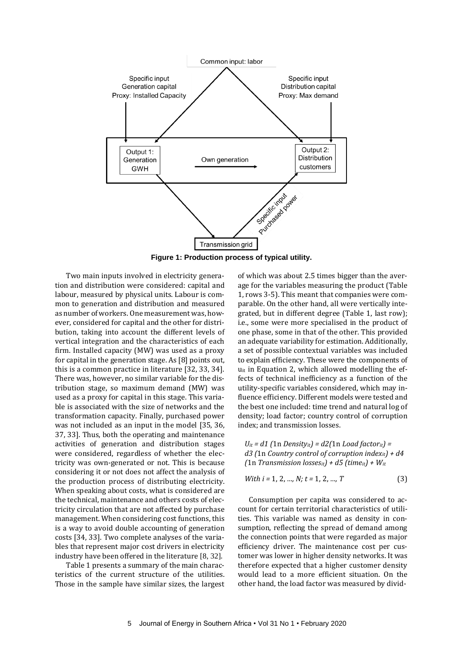

**Figure 1: Production process of typical utility.**

Two main inputs involved in electricity generation and distribution were considered: capital and labour, measured by physical units. Labour is common to generation and distribution and measured as number of workers. One measurement was, however, considered for capital and the other for distribution, taking into account the different levels of vertical integration and the characteristics of each firm. Installed capacity (MW) was used as a proxy for capital in the generation stage. As [8] points out, this is a common practice in literature [32, 33, 34]. There was, however, no similar variable for the distribution stage, so maximum demand (MW) was used as a proxy for capital in this stage. This variable is associated with the size of networks and the transformation capacity. Finally, purchased power was not included as an input in the model [35, 36, 37, 33]. Thus, both the operating and maintenance activities of generation and distribution stages were considered, regardless of whether the electricity was own-generated or not. This is because considering it or not does not affect the analysis of the production process of distributing electricity. When speaking about costs, what is considered are the technical, maintenance and others costs of electricity circulation that are not affected by purchase management. When considering cost functions, this is a way to avoid double accounting of generation costs [34, 33]. Two complete analyses of the variables that represent major cost drivers in electricity industry have been offered in the literature [8, 32].

Table 1 presents a summary of the main characteristics of the current structure of the utilities. Those in the sample have similar sizes, the largest of which was about 2.5 times bigger than the average for the variables measuring the product (Table 1, rows 3-5). This meant that companies were comparable. On the other hand, all were vertically integrated, but in different degree (Table 1, last row); i.e., some were more specialised in the product of one phase, some in that of the other. This provided an adequate variability for estimation. Additionally, a set of possible contextual variables was included to explain efficiency. These were the components of u<sub>it</sub> in Equation 2, which allowed modelling the effects of technical inefficiency as a function of the utility-specific variables considered, which may influence efficiency. Different models were tested and the best one included: time trend and natural log of density; load factor; country control of corruption index; and transmission losses.

*Uit = d1 (*1n *Densityit) = d2(*1n *Load factorit) = d3 (*1n *Country control of corruption indexit) + d4 (*1n *Transmission lossesit) + d5 (timeit) + Wit*

With 
$$
i = 1, 2, ..., N
$$
;  $t = 1, 2, ..., T$  (3)

Consumption per capita was considered to account for certain territorial characteristics of utilities. This variable was named as density in consumption, reflecting the spread of demand among the connection points that were regarded as major efficiency driver. The maintenance cost per customer was lower in higher density networks. It was therefore expected that a higher customer density would lead to a more efficient situation. On the other hand, the load factor was measured by divid-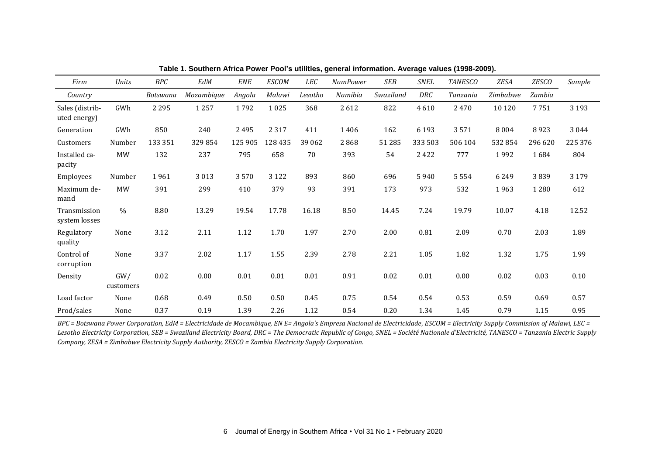| Firm                            | Units            | BPC             | EdM        | <b>ENE</b> | <b>ESCOM</b> | LEC      | <b>NamPower</b> | SEB       | <b>SNEL</b> | <b>TANESCO</b> | ZESA     | <b>ZESCO</b> | Sample  |
|---------------------------------|------------------|-----------------|------------|------------|--------------|----------|-----------------|-----------|-------------|----------------|----------|--------------|---------|
| Country                         |                  | <b>Botswana</b> | Mozambique | Angola     | Malawi       | Lesotho  | Namibia         | Swaziland | DRC         | Tanzania       | Zimbabwe | Zambia       |         |
| Sales (distrib-<br>uted energy) | GWh              | 2 2 9 5         | 1 2 5 7    | 1792       | 1025         | 368      | 2612            | 822       | 4610        | 2470           | 10 1 20  | 7751         | 3 1 9 3 |
| Generation                      | GWh              | 850             | 240        | 2495       | 2 3 1 7      | 411      | 1406            | 162       | 6 1 9 3     | 3571           | 8004     | 8923         | 3044    |
| Customers                       | Number           | 133 351         | 329854     | 125 905    | 128 435      | 39 062   | 2868            | 51 285    | 333 503     | 506 104        | 532 854  | 296 620      | 225 376 |
| Installed ca-<br>pacity         | MW               | 132             | 237        | 795        | 658          | 70       | 393             | 54        | 2422        | 777            | 1992     | 1684         | 804     |
| Employees                       | Number           | 1961            | 3013       | 3570       | 3 1 2 2      | 893      | 860             | 696       | 5940        | 5554           | 6249     | 3839         | 3 1 7 9 |
| Maximum de-<br>mand             | MW               | 391             | 299        | 410        | 379          | 93       | 391             | 173       | 973         | 532            | 1963     | 1 2 8 0      | 612     |
| Transmission<br>system losses   | $\frac{0}{0}$    | 8.80            | 13.29      | 19.54      | 17.78        | 16.18    | 8.50            | 14.45     | 7.24        | 19.79          | 10.07    | 4.18         | 12.52   |
| Regulatory<br>quality           | None             | 3.12            | 2.11       | 1.12       | 1.70         | 1.97     | 2.70            | 2.00      | 0.81        | 2.09           | 0.70     | 2.03         | 1.89    |
| Control of<br>corruption        | None             | 3.37            | 2.02       | $1.17\,$   | 1.55         | 2.39     | 2.78            | 2.21      | 1.05        | 1.82           | 1.32     | 1.75         | 1.99    |
| Density                         | GW/<br>customers | 0.02            | 0.00       | $0.01\,$   | $0.01\,$     | $0.01\,$ | 0.91            | 0.02      | $0.01\,$    | 0.00           | 0.02     | 0.03         | 0.10    |
| Load factor                     | None             | 0.68            | 0.49       | 0.50       | 0.50         | 0.45     | 0.75            | 0.54      | 0.54        | 0.53           | 0.59     | 0.69         | 0.57    |
| Prod/sales                      | None             | 0.37            | 0.19       | 1.39       | 2.26         | 1.12     | 0.54            | 0.20      | 1.34        | 1.45           | 0.79     | 1.15         | 0.95    |

**Table 1. Southern Africa Power Pool's utilities, general information. Average values (1998-2009).** 

*BPC = Botswana Power Corporation, EdM = Electricidade de Mocambique, EN E= Angola's Empresa Nacional de Electricidade, ESCOM = Electricity Supply Commission of Malawi, LEC = Lesotho Electricity Corporation, SEB = Swaziland Electricity Board, DRC = The Democratic Republic of Congo, SNEL = Société Nationale d'Electricité, TANESCO = Tanzania Electric Supply Company, ZESA = Zimbabwe Electricity Supply Authority, ZESCO = Zambia Electricity Supply Corporation.*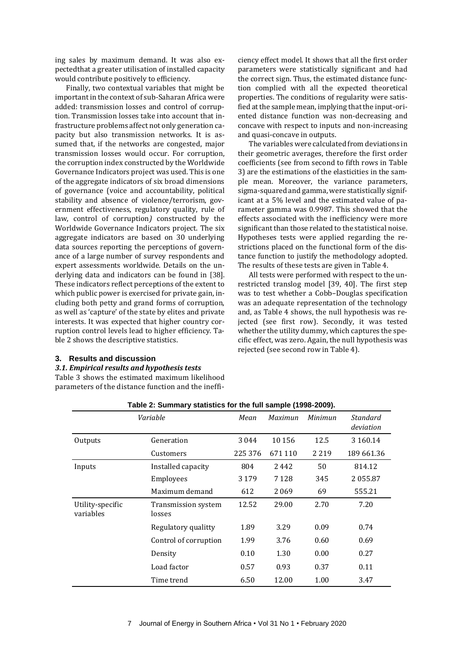ing sales by maximum demand. It was also expectedthat a greater utilisation of installed capacity would contribute positively to efficiency.

Finally, two contextual variables that might be important in the context of sub-Saharan Africa were added: transmission losses and control of corruption. Transmission losses take into account that infrastructure problems affect not only generation capacity but also transmission networks. It is assumed that, if the networks are congested, major transmission losses would occur. For corruption, the corruption index constructed by the Worldwide Governance Indicators project was used. This is one of the aggregate indicators of six broad dimensions of governance (voice and accountability, political stability and absence of violence/terrorism, government effectiveness, regulatory quality, rule of law, control of corruption*)* constructed by the Worldwide Governance Indicators project. The six aggregate indicators are based on 30 underlying data sources reporting the perceptions of governance of a large number of survey respondents and expert assessments worldwide. Details on the underlying data and indicators can be found in [38]. These indicators reflect perceptions of the extent to which public power is exercised for private gain, including both petty and grand forms of corruption, as well as 'capture' of the state by elites and private interests. It was expected that higher country corruption control levels lead to higher efficiency. Table 2 shows the descriptive statistics.

#### **3. Results and discussion**

#### *3.1. Empirical results and hypothesis tests*

Table 3 shows the estimated maximum likelihood parameters of the distance function and the inefficiency effect model. It shows that all the first order parameters were statistically significant and had the correct sign. Thus, the estimated distance function complied with all the expected theoretical properties. The conditions of regularity were satisfied at the sample mean, implying that the input-oriented distance function was non-decreasing and concave with respect to inputs and non-increasing and quasi-concave in outputs.

The variables were calculated from deviations in their geometric averages, therefore the first order coefficients (see from second to fifth rows in Table 3) are the estimations of the elasticities in the sample mean. Moreover, the variance parameters, sigma-squared and gamma, were statistically significant at a 5% level and the estimated value of parameter gamma was 0.9987. This showed that the effects associated with the inefficiency were more significant than those related to the statistical noise. Hypotheses tests were applied regarding the restrictions placed on the functional form of the distance function to justify the methodology adopted. The results of these tests are given in Table 4.

All tests were performed with respect to the unrestricted translog model [39, 40]. The first step was to test whether a Cobb–Douglas specification was an adequate representation of the technology and, as Table 4 shows, the null hypothesis was rejected (see first row). Secondly, it was tested whether the utility dummy, which captures the specific effect, was zero. Again, the null hypothesis was rejected (see second row in Table 4).

|                               | Variable                      | Mean    | Maximun | Minimun | Standard<br>deviation |
|-------------------------------|-------------------------------|---------|---------|---------|-----------------------|
| Outputs                       | Generation                    | 3044    | 10 15 6 | 12.5    | 3 160.14              |
|                               | Customers                     | 225 376 | 671 110 | 2 2 1 9 | 189 661.36            |
| Inputs                        | Installed capacity            | 804     | 2442    | 50      | 814.12                |
|                               | Employees                     | 3 1 7 9 | 7 1 2 8 | 345     | 2055.87               |
|                               | Maximum demand                | 612     | 2069    | 69      | 555.21                |
| Utility-specific<br>variables | Transmission system<br>losses | 12.52   | 29.00   | 2.70    | 7.20                  |
|                               | Regulatory qualitty           | 1.89    | 3.29    | 0.09    | 0.74                  |
|                               | Control of corruption         | 1.99    | 3.76    | 0.60    | 0.69                  |
|                               | Density                       | 0.10    | 1.30    | 0.00    | 0.27                  |
|                               | Load factor                   | 0.57    | 0.93    | 0.37    | 0.11                  |
|                               | Time trend                    | 6.50    | 12.00   | 1.00    | 3.47                  |

**Table 2: Summary statistics for the full sample (1998-2009).**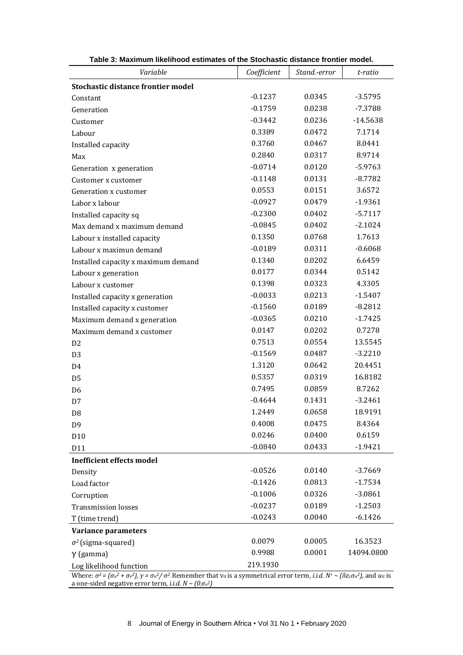| Variable                                                                                                                                                                                                                                                                    | Coefficient | Stand.-error | t-ratio    |  |  |  |
|-----------------------------------------------------------------------------------------------------------------------------------------------------------------------------------------------------------------------------------------------------------------------------|-------------|--------------|------------|--|--|--|
| <b>Stochastic distance frontier model</b>                                                                                                                                                                                                                                   |             |              |            |  |  |  |
| Constant                                                                                                                                                                                                                                                                    | $-0.1237$   | 0.0345       | $-3.5795$  |  |  |  |
| Generation                                                                                                                                                                                                                                                                  | $-0.1759$   | 0.0238       | $-7.3788$  |  |  |  |
| Customer                                                                                                                                                                                                                                                                    | $-0.3442$   | 0.0236       | $-14.5638$ |  |  |  |
| Labour                                                                                                                                                                                                                                                                      | 0.3389      | 0.0472       | 7.1714     |  |  |  |
| Installed capacity                                                                                                                                                                                                                                                          | 0.3760      | 0.0467       | 8.0441     |  |  |  |
| Max                                                                                                                                                                                                                                                                         | 0.2840      | 0.0317       | 8.9714     |  |  |  |
| Generation x generation                                                                                                                                                                                                                                                     | $-0.0714$   | 0.0120       | $-5.9763$  |  |  |  |
| Customer x customer                                                                                                                                                                                                                                                         | $-0.1148$   | 0.0131       | $-8.7782$  |  |  |  |
| Generation x customer                                                                                                                                                                                                                                                       | 0.0553      | 0.0151       | 3.6572     |  |  |  |
| Labor x labour                                                                                                                                                                                                                                                              | $-0.0927$   | 0.0479       | $-1.9361$  |  |  |  |
| Installed capacity sq                                                                                                                                                                                                                                                       | $-0.2300$   | 0.0402       | $-5.7117$  |  |  |  |
| Max demand x maximum demand                                                                                                                                                                                                                                                 | $-0.0845$   | 0.0402       | $-2.1024$  |  |  |  |
| Labour x installed capacity                                                                                                                                                                                                                                                 | 0.1350      | 0.0768       | 1.7613     |  |  |  |
| Labour x maximun demand                                                                                                                                                                                                                                                     | $-0.0189$   | 0.0311       | $-0.6068$  |  |  |  |
| Installed capacity x maximum demand                                                                                                                                                                                                                                         | 0.1340      | 0.0202       | 6.6459     |  |  |  |
| Labour x generation                                                                                                                                                                                                                                                         | 0.0177      | 0.0344       | 0.5142     |  |  |  |
| Labour x customer                                                                                                                                                                                                                                                           | 0.1398      | 0.0323       | 4.3305     |  |  |  |
| Installed capacity x generation                                                                                                                                                                                                                                             | $-0.0033$   | 0.0213       | $-1.5407$  |  |  |  |
| Installed capacity x customer                                                                                                                                                                                                                                               | $-0.1560$   | 0.0189       | $-8.2812$  |  |  |  |
| Maximum demand x generation                                                                                                                                                                                                                                                 | $-0.0365$   | 0.0210       | $-1.7425$  |  |  |  |
| Maximum demand x customer                                                                                                                                                                                                                                                   | 0.0147      | 0.0202       | 0.7278     |  |  |  |
| D <sub>2</sub>                                                                                                                                                                                                                                                              | 0.7513      | 0.0554       | 13.5545    |  |  |  |
| D <sub>3</sub>                                                                                                                                                                                                                                                              | $-0.1569$   | 0.0487       | $-3.2210$  |  |  |  |
| D <sub>4</sub>                                                                                                                                                                                                                                                              | 1.3120      | 0.0642       | 20.4451    |  |  |  |
| D <sub>5</sub>                                                                                                                                                                                                                                                              | 0.5357      | 0.0319       | 16.8182    |  |  |  |
| D <sub>6</sub>                                                                                                                                                                                                                                                              | 0.7495      | 0.0859       | 8.7262     |  |  |  |
| D7                                                                                                                                                                                                                                                                          | $-0.4644$   | 0.1431       | $-3.2461$  |  |  |  |
| D <sub>8</sub>                                                                                                                                                                                                                                                              | 1.2449      | 0.0658       | 18.9191    |  |  |  |
| D <sub>9</sub>                                                                                                                                                                                                                                                              | 0.4008      | 0.0475       | 8.4364     |  |  |  |
| D10                                                                                                                                                                                                                                                                         | 0.0246      | 0.0400       | 0.6159     |  |  |  |
| D11                                                                                                                                                                                                                                                                         | $-0.0840$   | 0.0433       | $-1.9421$  |  |  |  |
| <b>Inefficient effects model</b>                                                                                                                                                                                                                                            |             |              |            |  |  |  |
| Density                                                                                                                                                                                                                                                                     | $-0.0526$   | 0.0140       | $-3.7669$  |  |  |  |
| Load factor                                                                                                                                                                                                                                                                 | $-0.1426$   | 0.0813       | $-1.7534$  |  |  |  |
| Corruption                                                                                                                                                                                                                                                                  | $-0.1006$   | 0.0326       | $-3.0861$  |  |  |  |
| <b>Transmission losses</b>                                                                                                                                                                                                                                                  | $-0.0237$   | 0.0189       | $-1.2503$  |  |  |  |
| T (time trend)                                                                                                                                                                                                                                                              | $-0.0243$   | 0.0040       | $-6.1426$  |  |  |  |
| Variance parameters                                                                                                                                                                                                                                                         |             |              |            |  |  |  |
| $\sigma^2$ (sigma-squared)                                                                                                                                                                                                                                                  | 0.0079      | 0.0005       | 16.3523    |  |  |  |
| $\gamma$ (gamma)                                                                                                                                                                                                                                                            | 0.9988      | 0.0001       | 14094.0800 |  |  |  |
| Log likelihood function                                                                                                                                                                                                                                                     | 219.1930    |              |            |  |  |  |
| Where: $\sigma^2 = (\sigma_u^2 + \sigma_v^2)$ , $\gamma = \sigma_u^2/\sigma^2$ . Remember that $v_{it}$ is a symmetrical error term, <i>i.i.d.</i> $N^+ \sim (\delta z_i \sigma_u^2)$ , and $u_{it}$ is<br>a one-sided negative error term, <i>i.i.d.</i> $N \sim (0.6v^2)$ |             |              |            |  |  |  |

**Table 3: Maximum likelihood estimates of the Stochastic distance frontier model.**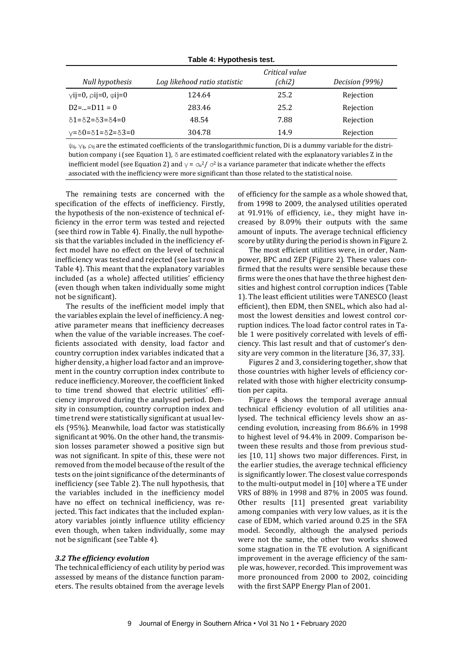| TADIE 4. NYPOLIJESIS LESL.                       |                              |                          |                |  |  |  |
|--------------------------------------------------|------------------------------|--------------------------|----------------|--|--|--|
| Null hypothesis                                  | Log likehood ratio statistic | Critical value<br>(chi2) | Decision (99%) |  |  |  |
| $\gamma$ ij=0, $\rho$ ij=0, $\varphi$ ij=0       | 124.64                       | 25.2                     | Rejection      |  |  |  |
| $D2==D11=0$                                      | 283.46                       | 25.2                     | Rejection      |  |  |  |
| $\delta$ 1= $\delta$ 2= $\delta$ 3= $\delta$ 4=0 | 48.54                        | 7.88                     | Rejection      |  |  |  |
| $y=80=81=82=83=0$                                | 304.78                       | 14.9                     | Rejection      |  |  |  |

**Table 4: Hypothesis test.**

 $\psi_{ij}$ ,  $\gamma_{ij}$ ,  $\rho_{ij}$  are the estimated coefficients of the translogarithmic function, Di is a dummy variable for the distribution company i (see Equation 1),  $\delta$  are estimated coefficient related with the explanatory variables Z in the inefficient model (see Equation 2) and  $\gamma$  =  $\sigma$ u<sup>2</sup>/  $\sigma$ <sup>2</sup> is a variance parameter that indicate whether the effects associated with the inefficiency were more significant than those related to the statistical noise.

The remaining tests are concerned with the specification of the effects of inefficiency. Firstly, the hypothesis of the non-existence of technical efficiency in the error term was tested and rejected (see third row in Table 4). Finally, the null hypothesis that the variables included in the inefficiency effect model have no effect on the level of technical inefficiency was tested and rejected (see last row in Table 4). This meant that the explanatory variables included (as a whole) affected utilities' efficiency (even though when taken individually some might not be significant).

The results of the inefficient model imply that the variables explain the level of inefficiency. A negative parameter means that inefficiency decreases when the value of the variable increases. The coefficients associated with density, load factor and country corruption index variables indicated that a higher density, a higher load factor and an improvement in the country corruption index contribute to reduce inefficiency. Moreover, the coefficient linked to time trend showed that electric utilities' efficiency improved during the analysed period. Density in consumption, country corruption index and time trend were statistically significant at usual levels (95%). Meanwhile, load factor was statistically significant at 90%. On the other hand, the transmission losses parameter showed a positive sign but was not significant. In spite of this, these were not removed from the model because of the result of the tests on the joint significance of the determinants of inefficiency (see Table 2). The null hypothesis, that the variables included in the inefficiency model have no effect on technical inefficiency, was rejected. This fact indicates that the included explanatory variables jointly influence utility efficiency even though, when taken individually, some may not be significant (see Table 4).

#### *3.2 The efficiency evolution*

The technical efficiency of each utility by period was assessed by means of the distance function parameters. The results obtained from the average levels of efficiency for the sample as a whole showed that, from 1998 to 2009, the analysed utilities operated at 91.91% of efficiency, i.e., they might have increased by 8.09% their outputs with the same amount of inputs. The average technical efficiency score by utility during the period is shown in Figure 2.

The most efficient utilities were, in order, Nampower, BPC and ZEP (Figure 2). These values confirmed that the results were sensible because these firms were the ones that have the three highest densities and highest control corruption indices (Table 1). The least efficient utilities were TANESCO (least efficient), then EDM, then SNEL, which also had almost the lowest densities and lowest control corruption indices. The load factor control rates in Table 1 were positively correlated with levels of efficiency. This last result and that of customer's density are very common in the literature [36, 37, 33].

Figures 2 and 3, considering together, show that those countries with higher levels of efficiency correlated with those with higher electricity consumption per capita.

Figure 4 shows the temporal average annual technical efficiency evolution of all utilities analysed. The technical efficiency levels show an ascending evolution, increasing from 86.6% in 1998 to highest level of 94.4% in 2009. Comparison between these results and those from previous studies [10, 11] shows two major differences. First, in the earlier studies, the average technical efficiency is significantly lower. The closest value corresponds to the multi-output model in [10] where a TE under VRS of 88% in 1998 and 87% in 2005 was found. Other results [11] presented great variability among companies with very low values, as it is the case of EDM, which varied around 0.25 in the SFA model. Secondly, although the analysed periods were not the same, the other two works showed some stagnation in the TE evolution. A significant improvement in the average efficiency of the sample was, however, recorded. This improvement was more pronounced from 2000 to 2002, coinciding with the first SAPP Energy Plan of 2001.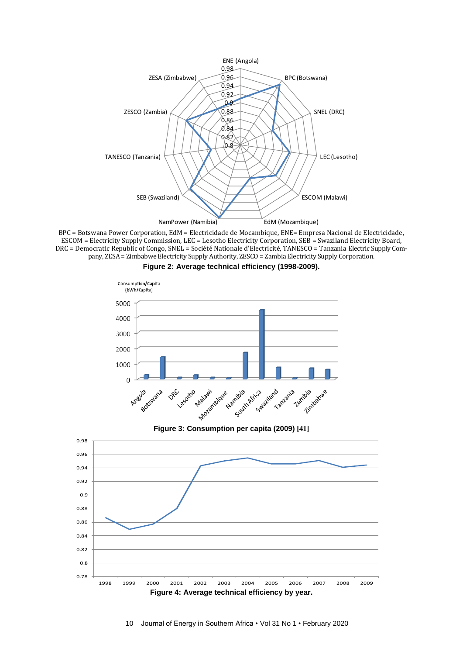

BPC = Botswana Power Corporation, EdM = Electricidade de Mocambique, ENE= Empresa Nacional de Electricidade, ESCOM = Electricity Supply Commission, LEC = Lesotho Electricity Corporation, SEB = Swaziland Electricity Board, DRC = Democratic Republic of Congo, SNEL = Société Nationale d'Electricité, TANESCO = Tanzania Electric Supply Company, ZESA = Zimbabwe Electricity Supply Authority, ZESCO = Zambia Electricity Supply Corporation.







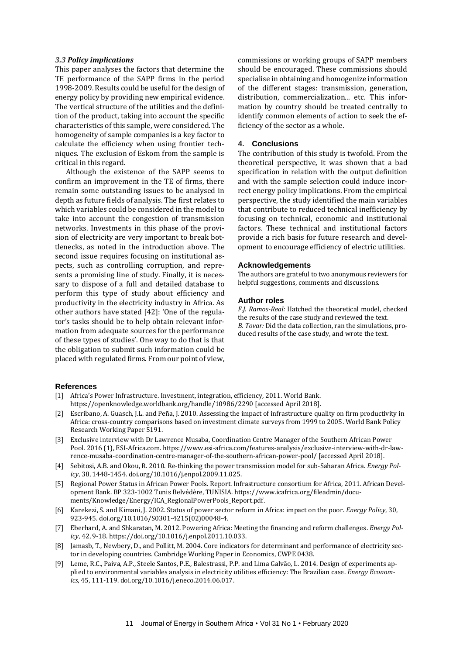#### *3.3 Policy implications*

This paper analyses the factors that determine the TE performance of the SAPP firms in the period 1998-2009. Results could be useful for the design of energy policy by providing new empirical evidence. The vertical structure of the utilities and the definition of the product, taking into account the specific characteristics of this sample, were considered. The homogeneity of sample companies is a key factor to calculate the efficiency when using frontier techniques. The exclusion of Eskom from the sample is critical in this regard.

Although the existence of the SAPP seems to confirm an improvement in the TE of firms, there remain some outstanding issues to be analysed in depth as future fields of analysis. The first relates to which variables could be considered in the model to take into account the congestion of transmission networks. Investments in this phase of the provision of electricity are very important to break bottlenecks, as noted in the introduction above. The second issue requires focusing on institutional aspects, such as controlling corruption, and represents a promising line of study. Finally, it is necessary to dispose of a full and detailed database to perform this type of study about efficiency and productivity in the electricity industry in Africa. As other authors have stated [42]: 'One of the regulator's tasks should be to help obtain relevant information from adequate sources for the performance of these types of studies'. One way to do that is that the obligation to submit such information could be placed with regulated firms. From our point of view,

commissions or working groups of SAPP members should be encouraged. These commissions should specialise in obtaining and homogenize information of the different stages: transmission, generation, distribution, commercialization... etc. This information by country should be treated centrally to identify common elements of action to seek the efficiency of the sector as a whole.

#### **4. Conclusions**

The contribution of this study is twofold. From the theoretical perspective, it was shown that a bad specification in relation with the output definition and with the sample selection could induce incorrect energy policy implications. From the empirical perspective, the study identified the main variables that contribute to reduced technical inefficiency by focusing on technical, economic and institutional factors. These technical and institutional factors provide a rich basis for future research and development to encourage efficiency of electric utilities.

#### **Acknowledgements**

The authors are grateful to two anonymous reviewers for helpful suggestions, comments and discussions.

#### **Author roles**

*F.J. Ramos-Real:* Hatched the theoretical model, checked the results of the case study and reviewed the text. *B. Tovar:* Did the data collection, ran the simulations, produced results of the case study, and wrote the text.

#### **References**

- [1] Africa's Power Infrastructure. Investment, integration, efficiency, 2011. World Bank. <https://openknowledge.worldbank.org/handle/10986/2290> [accessed April 2018].
- [2] [Escribano,](https://scholar.google.es/citations?user=ABmg0KgAAAAJ&hl=es&oi=sra) A. Guasch, J.L. and Peña, J. 2010[. Assessing the impact of infrastructure quality on firm productivity in](http://papers.ssrn.com/sol3/papers.cfm?abstract_id=1547630)  [Africa: cross-country comparisons based on investment climate surveys from 1999 to 2005.](http://papers.ssrn.com/sol3/papers.cfm?abstract_id=1547630) World Bank Policy Researc[h Working Paper 5191.](http://papers.ssrn.com/sol3/papers.cfm?abstract_id=1547630##)
- [3] Exclusive interview with Dr Lawrence Musaba, Coordination Centre Manager of the Southern African Power Pool*.* 2016 (1), ESI-Africa.com[. https://www.esi-africa.com/features-analysis/exclusive-interview-with-dr-law](https://www.esi-africa.com/features-analysis/exclusive-interview-with-dr-lawrence-musaba-coordination-centre-manager-of-the-southern-african-power-pool/%20%5baccessed)[rence-musaba-coordination-centre-manager-of-the-southern-african-power-pool/ \[](https://www.esi-africa.com/features-analysis/exclusive-interview-with-dr-lawrence-musaba-coordination-centre-manager-of-the-southern-african-power-pool/%20%5baccessed)accessed April 2018].
- [4] Sebitosi, A.B. and Okou, R. 2010[. Re-thinking the power transmission model for sub-Saharan Africa.](http://www.sciencedirect.com/science/article/pii/S0301421509008556) *Energy Policy*, 38, 1448-1454[. doi.org/10.1016/j.enpol.2009.11.025.](https://doi.org/10.1016/j.enpol.2009.11.025)
- [5] Regional Power Status in African Power Pools. Report. Infrastructure consortium for Africa, 2011. African Development Bank. BP 323-1002 Tunis Belvédère, TUNISIA[. https://www.icafrica.org/fileadmin/docu](https://www.icafrica.org/fileadmin/documents/Knowledge/Energy/ICA_RegionalPowerPools_Report.pdf)[ments/Knowledge/Energy/ICA\\_RegionalPowerPools\\_Report.pdf.](https://www.icafrica.org/fileadmin/documents/Knowledge/Energy/ICA_RegionalPowerPools_Report.pdf)
- [6] Karekezi, S. and Kimani, J. 2002. [Status of power sector reform in Africa: impact on the poor.](http://www.sciencedirect.com/science/article/pii/S0301421502000484) *Energy Policy*, 30, 923-945[. doi.org/10.1016/S0301-4215\(02\)00048-4.](https://doi.org/10.1016/S0301-4215(02)00048-4)
- [7] Eberhard, A. and Shkaratan, M. 2012. [Powering Africa: Meeting the financing and reform challenges.](http://www.sciencedirect.com/science/article/pii/S0301421511008172) *Energy Policy*, 42, 9-18[. https://doi.org/10.1016/j.enpol.2011.10.033.](https://doi.org/10.1016/j.enpol.2011.10.033)
- [8] Jamasb, T., Newbery, D., and Pollitt, M. 2004. Core indicators for determinant and performance of electricity sector in developing countries. Cambridge Working Paper in Economics, CWPE 0438.
- [9] Leme, R.C., Paiva, A.P., Steele Santos, P.E., Balestrassi, P.P. and Lima Galvão, L. 2014[. Design of experiments ap](http://www.sciencedirect.com/science/article/pii/S0140988314001509)[plied to environmental variables analysis in electricity utilities efficiency: The Brazilian case.](http://www.sciencedirect.com/science/article/pii/S0140988314001509) *Energy Economics*, 45, 111-119. [doi.org/10.1016/j.eneco.2014.06.017.](https://doi.org/10.1016/j.eneco.2014.06.017)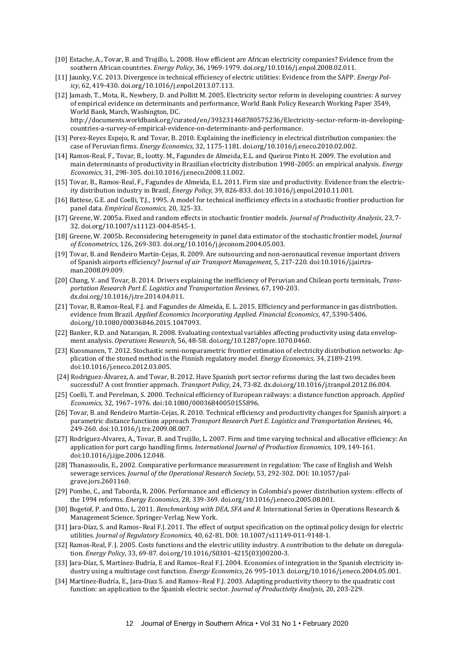- [10] Estache, A., Tovar, B. and Trujillo, L. 2008[. How efficient are African electricity companies? Evidence from the](http://www.sciencedirect.com/science/article/pii/S0301421508000827)  [southern African countries.](http://www.sciencedirect.com/science/article/pii/S0301421508000827) *Energy Policy*, 36, 1969-1979. [doi.org/10.1016/j.enpol.2008.02.011.](https://doi.org/10.1016/j.enpol.2008.02.011)
- [11] Jaunky, V.C. 2013[. Divergence in technical efficiency of electric utilities: Evidence from the SAPP.](http://www.sciencedirect.com/science/article/pii/S0301421513007714) *Energy Policy*, 62, 419-430[. doi.org/10.1016/j.enpol.2013.07.113.](https://doi.org/10.1016/j.enpol.2013.07.113)
- [12] Jamasb, T., Mota, R., Newbery, D. and Pollitt M. 2005. Electricity sector reform in developing countries: A survey of empirical evidence on determinants and performance, World Bank Policy Research Working Paper 3549, World Bank, March, Washington, DC.

[http://documents.worldbank.org/curated/en/393231468780575236/Electricity-sector-reform-in-developing](http://documents.worldbank.org/curated/en/393231468780575236/Electricity-sector-reform-in-developing-countries-a-survey-of-empirical-evidence-on-determinants-and-performance)[countries-a-survey-of-empirical-evidence-on-determinants-and-performance.](http://documents.worldbank.org/curated/en/393231468780575236/Electricity-sector-reform-in-developing-countries-a-survey-of-empirical-evidence-on-determinants-and-performance)

- [13] Perez-Reyes Espejo, R. and Tovar, B. 2010. Explaining the inefficiency in electrical distribution companies: the case of Peruvian firms. *Energy Economics*, 32, 1175-1181[. doi.org/10.1016/j.eneco.2010.02.002.](https://doi.org/10.1016/j.eneco.2010.02.002)
- [14] Ramos-Real, F., Tovar, B., Iootty. M., [Fagundes de Almeida,](http://www.tandfonline.com/author/Fagundes+de+Almeida%2C+Edmar+Luiz) E.L. and Queiroz Pinto H. 2009. The evolution and main determinants of productivity in Brazilian electricity distribution 1998-2005: an empirical analysis. *Energy Economics*, 31, 298-305. doi:10.1016/j.eneco.2008.11.002.
- [15] Tovar, B., Ramos-Real, F.[, Fagundes de Almeida,](http://www.tandfonline.com/author/Fagundes+de+Almeida%2C+Edmar+Luiz) E.L. 2011. Firm size and productivity. Evidence from the electricity distribution industry in Brazil, *Energy Policy*, 39, 826-833. doi:10.1016/j.enpol.2010.11.001.
- [16] Battese, G.E. and Coelli, T.J., 1995. A model for technical inefficiency effects in a stochastic frontier production for panel data. *Empirical Economics,* 20, 325-33.
- [17] Greene, W. 2005a. Fixed and random effects in stochastic frontier models. *Journal of Productivity Analysis*, 23, 7- 32. doi.org/10.1007/s11123-004-8545-1.
- [18] Greene, W. 2005b. Reconsidering heterogeneity in panel data estimator of the stochastic frontier model, *Journal of Econometrics*, 126, 269-303. doi.org/10.1016/j.jeconom.2004.05.003.
- [19] Tovar, B. and Rendeiro Martin-Cejas, R. 2009. Are outsourcing and non-aeronautical revenue important drivers of Spanish airports efficiency? *Journal of air Transport Management*, 5, 217-220. doi:10.1016/j.jairtraman.2008.09.009.
- [20] Chang, V. and Tovar, B. 2014. Drivers explaining the inefficiency of Peruvian and Chilean ports terminals, *Transportation Research Part E. Logistics and Transportation Reviews,* 67, 190-203. dx.doi.org/10.1016/j.tre.2014.04.011.
- [21[\] Tovar,](http://www.tandfonline.com/author/Tovar%2C+Beatriz) B, Ramos-Real, F.J. and [Fagundes de Almeida,](http://www.tandfonline.com/author/Fagundes+de+Almeida%2C+Edmar+Luiz) E. L. 2015[. Efficiency and performance in gas distribution.](http://www.tandfonline.com/doi/full/10.1080/00036846.2015.1047093#abstract)  [evidence from Brazil.](http://www.tandfonline.com/doi/full/10.1080/00036846.2015.1047093#abstract) *Applied Economics Incorporating Applied. Financial Economics*, 47, 5390-5406. doi.org/10.1080/00036846.2015.1047093.
- [22] Banker, R.D. and Natarajan, R. 2008. Evaluating contextual variables affecting productivity using data envelopment analysis. *Operations Research*, 56, 48-58. doi.org/10.1287/opre.1070.0460.
- [23] Kuosmanen, T. 2012. Stochastic semi-nonparametric frontier estimation of electricity distribution networks: Application of the stoned method in the Finnish regulatory model. *Energy Economics,* 34, 2189-2199. doi:10.1016/j.eneco.2012.03.005.
- [24] Rodriguez-Álvarez, A. and Tovar, B. 2012. Have Spanish port sector reforms during the last two decades been successful? A cost frontier approach. *Transport Policy*, 24, 73-82. dx.doi.org/10.1016/j.tranpol.2012.06.004.
- [25] Coelli, T. and Perelman, S. 2000. Technical efficiency of European railways: a distance function approach. *Applied Economics,* 32, 1967–1976. doi:10.1080/00036840050155896.
- [26] Tovar, B. and Rendeiro Martin-Cejas, R. 2010. Technical efficiency and productivity changes for Spanish airport: a parametric distance functions approach *Transport Research Part E. Logistics and Transportation Reviews*, 46, 249-260. doi:10.1016/j.tre.2009.08.007.
- [27] Rodríguez-Alvarez, A., Tovar, B. and Trujillo, L. 2007. Firm and time varying technical and allocative efficiency: An application for port cargo handling firms. *International Journal of Production Economics,* 109, 149-161. doi:10.1016/j.ijpe.2006.12.048.
- [28] Thanassoulis, E., 2002. Comparative performance measurement in regulation: The case of English and Welsh sewerage services. *Journal of the Operational Research Society*, 53, 292-302. DOI: 10.1057/palgrave.jors.2601160.
- [29] Pombo, C., and Taborda, R. 2006. Performance and efficiency in Colombia's power distribution system: effects of the 1994 reforms. *Energy Economics*, 28, 339-369[. doi.org/10.1016/j.eneco.2005.08.001.](https://doi.org/10.1016/j.eneco.2005.08.001)
- [30] Bogetof, P. and Otto, L. 2011. *Benchmarking with DEA, SFA and R*. International Series in Operations Research & Management Science. Springer-Verlag. New York.
- [31] Jara-Díaz, S. and Ramos–Real F.J. 2011. The effect of output specification on the optimal policy design for electric utilities. *Journal of Regulatory Economics,* 40, 62-81. DOI: 10.1007/s11149-011-9148-1.
- [32] Ramos-Real, F. J. 2005. Costs functions and the electric utility industry. A contribution to the debate on deregulation. *Energy Policy*, 33, 69-87[. doi.org/10.1016/S0301-4215\(03\)00200-3.](https://doi.org/10.1016/S0301-4215(03)00200-3)
- [33] Jara-Díaz, S, Martínez-Budría, E and Ramos–Real F.J. 2004. Economies of integration in the Spanish electricity industry using a multistage cost function. *Energy Economics*, 26 995-1013*.* [doi.org/10.1016/j.eneco.2004.05.001.](https://doi.org/10.1016/j.eneco.2004.05.001)
- [34] Martínez-Budría, E., Jara-Diaz S. and Ramos–Real F.J. 2003. Adapting productivity theory to the quadratic cost function: an application to the Spanish electric sector. *Journal of Productivity Analysis,* 20, 203-229.